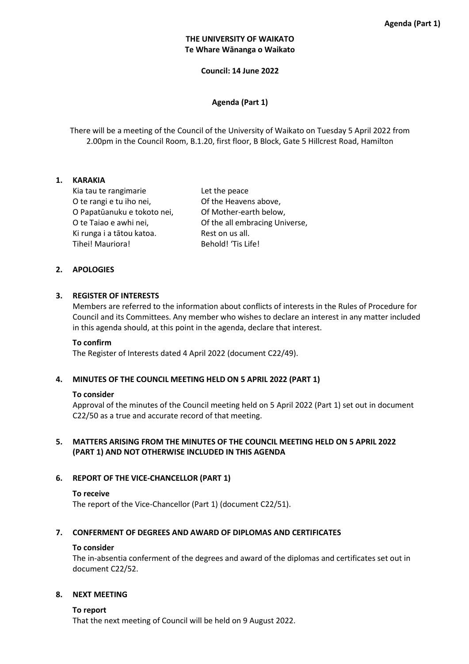# **THE UNIVERSITY OF WAIKATO Te Whare Wānanga o Waikato**

**Council: 14 June 2022** 

# **Agenda (Part 1)**

There will be a meeting of the Council of the University of Waikato on Tuesday 5 April 2022 from 2.00pm in the Council Room, B.1.20, first floor, B Block, Gate 5 Hillcrest Road, Hamilton

## **1. KARAKIA**

Kia tau te rangimarie The Let the peace O te rangi e tu iho nei, Of the Heavens above, O Papatūanuku e tokoto nei, Of Mother-earth below, Ki runga i a tātou katoa. Rest on us all. Tihei! Mauriora! Behold! 'Tis Life!

O te Taiao e awhi nei, Of the all embracing Universe,

## **2. APOLOGIES**

### **3. REGISTER OF INTERESTS**

Members are referred to the information about conflicts of interests in the Rules of Procedure for Council and its Committees. Any member who wishes to declare an interest in any matter included in this agenda should, at this point in the agenda, declare that interest.

#### **To confirm**

The Register of Interests dated 4 April 2022 (document C22/49).

## **4. MINUTES OF THE COUNCIL MEETING HELD ON 5 APRIL 2022 (PART 1)**

#### **To consider**

Approval of the minutes of the Council meeting held on 5 April 2022 (Part 1) set out in document C22/50 as a true and accurate record of that meeting.

# **5. MATTERS ARISING FROM THE MINUTES OF THE COUNCIL MEETING HELD ON 5 APRIL 2022 (PART 1) AND NOT OTHERWISE INCLUDED IN THIS AGENDA**

## **6. REPORT OF THE VICE-CHANCELLOR (PART 1)**

#### **To receive**

The report of the Vice-Chancellor (Part 1) (document C22/51).

#### **7. CONFERMENT OF DEGREES AND AWARD OF DIPLOMAS AND CERTIFICATES**

#### **To consider**

The in-absentia conferment of the degrees and award of the diplomas and certificates set out in document C22/52.

#### **8. NEXT MEETING**

#### **To report**

That the next meeting of Council will be held on 9 August 2022.